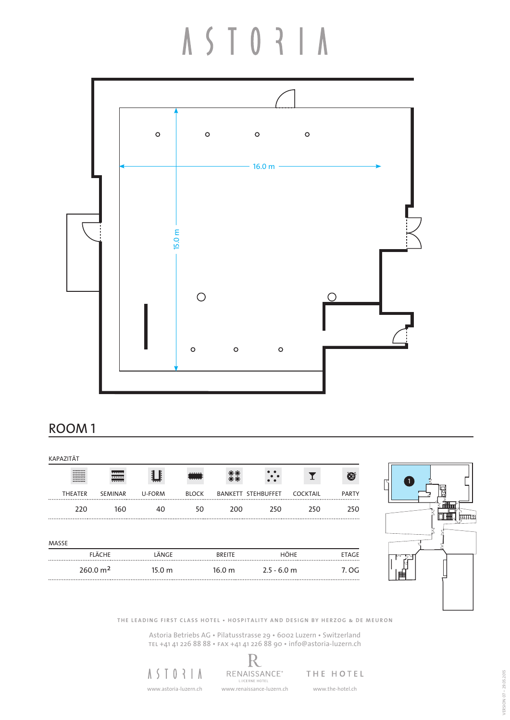## A S T O R | A



#### ROOM 1

| <b>KAPAZITÄT</b> |                                                                     |                            |                   |              |                   |                           |                 |              |
|------------------|---------------------------------------------------------------------|----------------------------|-------------------|--------------|-------------------|---------------------------|-----------------|--------------|
|                  | --------<br><b></b><br>********<br>--------<br>--------<br>******** | 777777<br>777777<br>777777 |                   | <br>77777    |                   |                           |                 | <b>●</b>     |
|                  | <b>THEATER</b>                                                      | <b>SEMINAR</b>             | U-FORM            | <b>BLOCK</b> |                   | <b>BANKETT STEHBUFFET</b> | <b>COCKTAIL</b> | <b>PARTY</b> |
|                  | 220                                                                 | 160                        | 40                | 50           | 200               | 250                       | 250             | 250          |
| MASSE            |                                                                     |                            |                   |              |                   |                           |                 |              |
|                  |                                                                     | FLÄCHE                     | LÄNGE             |              | <b>BREITE</b>     | <b>HÖHE</b>               |                 | <b>ETAGE</b> |
|                  |                                                                     | 260.0 m <sup>2</sup>       | 15.0 <sub>m</sub> |              | 16.0 <sub>m</sub> | $2.5 - 6.0$ m             |                 | 7. OG        |



**THE LEADING FIRST CLASS HOTEL • HOSPITALITY AND DESIGN BY HERZOG & DE MEURON**

Astoria Betriebs AG • Pilatusstrasse 29 • 6002 Luzern • Switzerland tel +41 41 226 88 88 • fax +41 41 226 88 90 • info@astoria-luzern.ch

 $A S I 0 3 I A$ 

R RENAISSANCE® www.astoria-luzern.ch www.renaissance-luzern.ch www.the-hotel.ch

THE HOTEL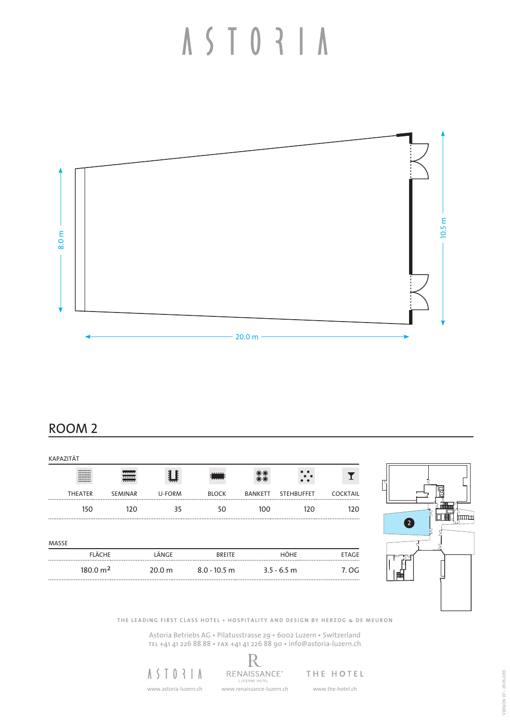

#### ROOM 2

|       | KAPAZITÄT                                                           |                             |                   |                |                |                   |                 |
|-------|---------------------------------------------------------------------|-----------------------------|-------------------|----------------|----------------|-------------------|-----------------|
|       | ********<br><b></b><br>********<br>********<br>********<br>******** | سست<br><del></del><br>77777 |                   |                |                |                   |                 |
|       | <b>THEATER</b>                                                      | <b>SEMINAR</b>              | U-FORM            | <b>BLOCK</b>   | <b>BANKETT</b> | <b>STEHBUFFET</b> | <b>COCKTAIL</b> |
|       | 150                                                                 | 120                         | 35                | 50             | 100            | 120               | 120<br>         |
| MASSE |                                                                     |                             |                   |                |                |                   |                 |
|       | <b>FLÄCHE</b>                                                       |                             | LÄNGE             | <b>BREITE</b>  |                | HÖHE              | <b>ETAGE</b>    |
|       | 180.0 m <sup>2</sup>                                                |                             | 20.0 <sub>m</sub> | $8.0 - 10.5$ m |                | $3.5 - 6.5$ m     | 7. OG<br>.      |



**THE LEADING FIRST CLASS HOTEL • HOSPITALITY AND DESIGN BY HERZOG & DE MEURON**

Astoria Betriebs AG • Pilatusstrasse 29 • 6002 Luzern • Switzerland tel +41 41 226 88 88 • fax +41 41 226 88 90 • info@astoria-luzern.ch

R

 $A S I 0 3 I A$ www.astoria-luzern.ch www.renaissance-luzern.ch www.the-hotel.ch

RENAISSANCE® THE HOTEL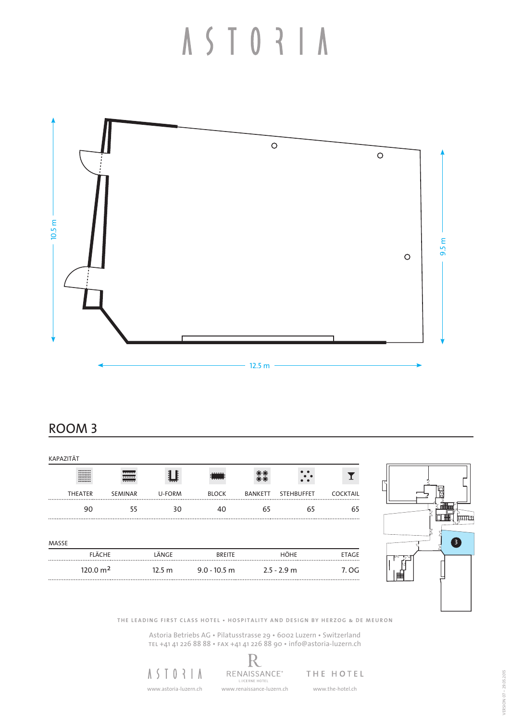

#### ROOM 3

| <b>KAPAZITÄT</b> |                                                            |                            |                   |                |                |                   |                 |
|------------------|------------------------------------------------------------|----------------------------|-------------------|----------------|----------------|-------------------|-----------------|
|                  | ********<br>----------<br>--------<br>********<br>-------- | <del></del><br>555555<br>. |                   | <br>------     |                |                   |                 |
|                  | <b>THEATER</b>                                             | <b>SEMINAR</b>             | U-FORM            | <b>BLOCK</b>   | <b>BANKETT</b> | <b>STEHBUFFET</b> | <b>COCKTAIL</b> |
|                  | 90                                                         | 55                         | 30                | 40             | 65             | 65                | 65              |
| MASSE            | <b>FLÄCHE</b>                                              |                            | LÄNGE             |                |                | HÖHE              | <b>ETAGE</b>    |
|                  | 120.0 m <sup>2</sup>                                       |                            |                   | <b>BREITE</b>  |                |                   |                 |
|                  |                                                            |                            | 12.5 <sub>m</sub> | $9.0 - 10.5$ m |                | $2.5 - 2.9$ m     | 7. OG           |



**THE LEADING FIRST CLASS HOTEL • HOSPITALITY AND DESIGN BY HERZOG & DE MEURON**

Astoria Betriebs AG • Pilatusstrasse 29 • 6002 Luzern • Switzerland tel +41 41 226 88 88 • fax +41 41 226 88 90 • info@astoria-luzern.ch

R

 $A S I 0 3 I A$ 

RENAISSANCE® www.astoria-luzern.ch www.renaissance-luzern.ch www.the-hotel.ch

THE HOTEL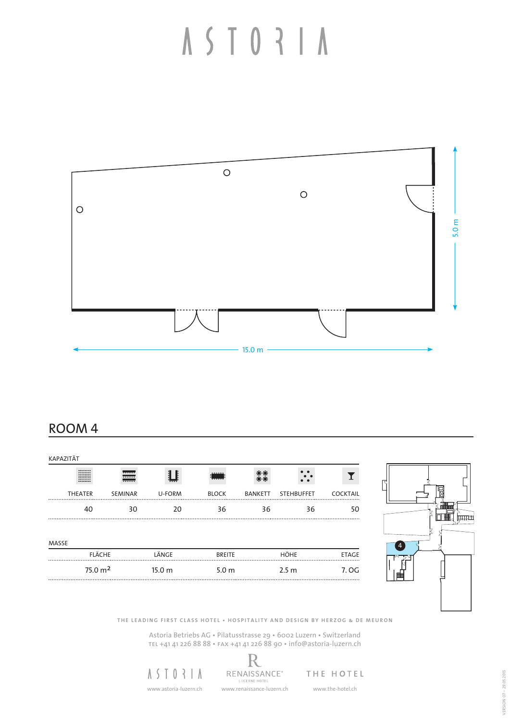

#### ROOM 4

| KAPAZITÄT |                                                                     |                      |        |                  |                |                   |                 |
|-----------|---------------------------------------------------------------------|----------------------|--------|------------------|----------------|-------------------|-----------------|
|           | ********<br><b></b><br>********<br>********<br>********<br>******** | <del></del><br><br>. |        | <br>-------      |                |                   |                 |
|           | <b>THEATER</b>                                                      | SEMINAR              | U-FORM | <b>BLOCK</b>     | <b>BANKETT</b> | <b>STEHBUFFET</b> | <b>COCKTAIL</b> |
|           | 40                                                                  | 30                   | 20     | 36               | 36             | 36                | 50              |
| MASSE     |                                                                     |                      |        |                  |                |                   |                 |
|           | <b>FLÄCHE</b>                                                       |                      | LÄNGE  | <b>BREITE</b>    |                | HÖHE              | <b>ETAGE</b>    |
|           | 75.0 m <sup>2</sup>                                                 |                      | 15.0 m | 5.0 <sub>m</sub> |                | 2.5 <sub>m</sub>  | 7. OG           |



**THE LEADING FIRST CLASS HOTEL • HOSPITALITY AND DESIGN BY HERZOG & DE MEURON**

Astoria Betriebs AG • Pilatusstrasse 29 • 6002 Luzern • Switzerland tel +41 41 226 88 88 • fax +41 41 226 88 90 • info@astoria-luzern.ch

R

 $A S I 0 3 I A$ 

RENAISSANCE® THE HOTEL www.astoria-luzern.ch www.renaissance-luzern.ch www.the-hotel.ch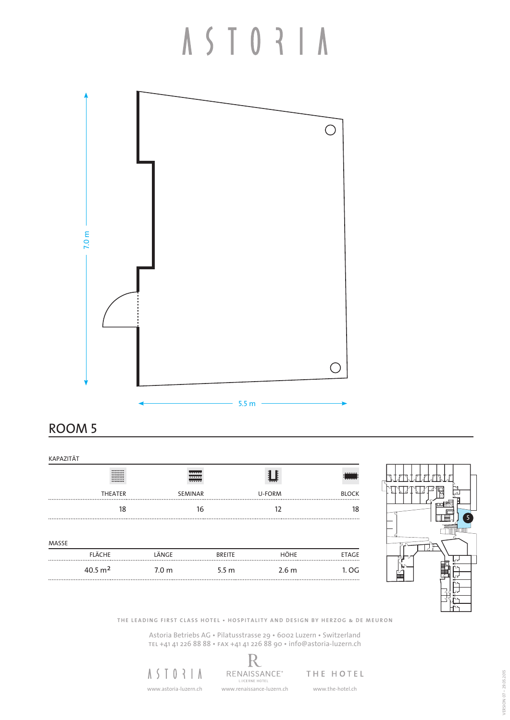# A S T O R | A



#### ROOM 5

| KAPAZITÄT |                                                                             |                           |                  |                  |              |
|-----------|-----------------------------------------------------------------------------|---------------------------|------------------|------------------|--------------|
|           | --------<br><b>********</b><br>********<br>--------<br>--------<br>******** | <del></del><br><br>777777 |                  |                  | <br>77777    |
|           | <b>THEATER</b>                                                              | <b>SEMINAR</b>            |                  | U-FORM           | <b>BLOCK</b> |
|           | 18                                                                          | 16                        |                  | 12               | 18           |
|           |                                                                             |                           |                  |                  |              |
| MASSE     |                                                                             |                           |                  |                  |              |
|           | <b>FLÄCHE</b>                                                               | LÄNGE                     | <b>BREITE</b>    | <b>HÖHE</b>      | <b>ETAGE</b> |
|           | $40.5 \text{ m}^2$                                                          | 7.0 <sub>m</sub>          | 5.5 <sub>m</sub> | 2.6 <sub>m</sub> | 1. OG        |



**THE LEADING FIRST CLASS HOTEL • HOSPITALITY AND DESIGN BY HERZOG & DE MEURON**

Astoria Betriebs AG • Pilatusstrasse 29 • 6002 Luzern • Switzerland tel +41 41 226 88 88 • fax +41 41 226 88 90 • info@astoria-luzern.ch



R RENAISSANCE® www.astoria-luzern.ch www.renaissance-luzern.ch www.the-hotel.ch

THE HOTEL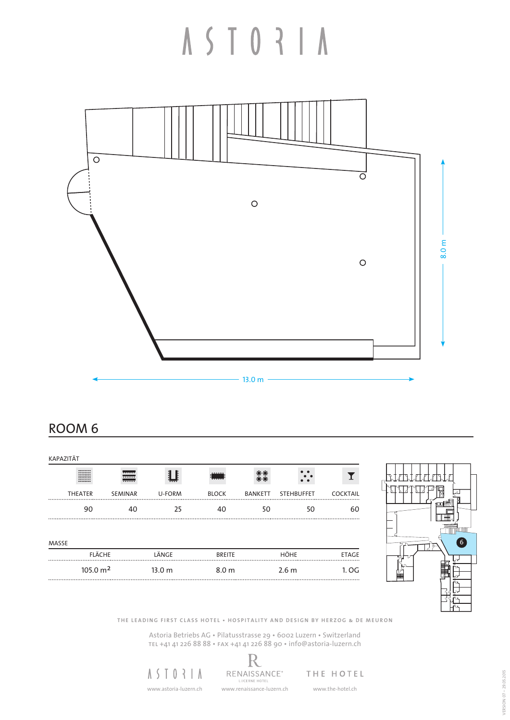

ROOM 6

| KAPAZITÄT |                                                                     |                           |                   |               |                |                   |                 |
|-----------|---------------------------------------------------------------------|---------------------------|-------------------|---------------|----------------|-------------------|-----------------|
|           | ********<br><b></b><br>********<br>********<br>********<br>******** | <del></del><br>.<br>77777 |                   | <br>------    |                |                   |                 |
|           | <b>THEATER</b>                                                      | <b>SEMINAR</b>            | U-FORM            | <b>BLOCK</b>  | <b>BANKETT</b> | <b>STEHBUFFET</b> | <b>COCKTAIL</b> |
|           | 90                                                                  | 40                        | 25                | 40            | 50             | 50                | 60              |
| MASSE     |                                                                     |                           |                   |               |                |                   |                 |
|           | <b>FLÄCHE</b>                                                       |                           | LÄNGE             | <b>BREITE</b> |                | HÖHE              | <b>ETAGE</b>    |
|           | 105.0 m <sup>2</sup>                                                |                           | 13.0 <sub>m</sub> | 8.0 m         |                | 2.6 <sub>m</sub>  | 1.0G<br>.       |



**THE LEADING FIRST CLASS HOTEL • HOSPITALITY AND DESIGN BY HERZOG & DE MEURON**

Astoria Betriebs AG • Pilatusstrasse 29 • 6002 Luzern • Switzerland tel +41 41 226 88 88 • fax +41 41 226 88 90 • info@astoria-luzern.ch

R

 $A S I 0 3 I A$ 

RENAISSANCE® www.astoria-luzern.ch www.renaissance-luzern.ch www.the-hotel.ch

THE HOTEL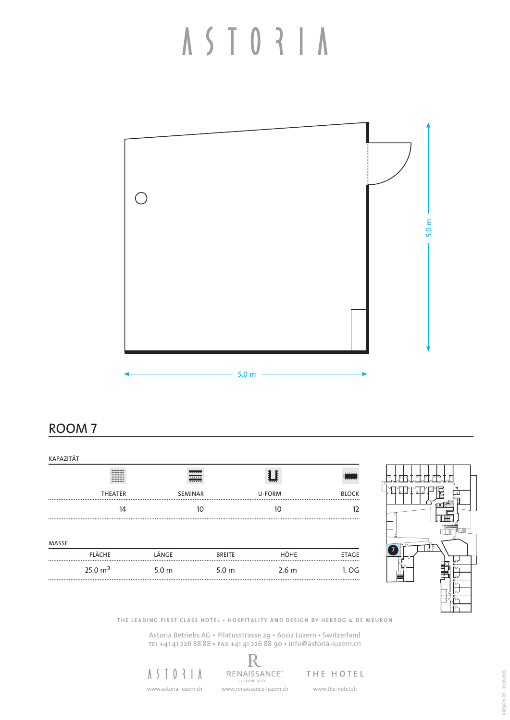

ROOM 7

| KAPAZITÄT |                                                                             |                    |                  |        |                  |   |
|-----------|-----------------------------------------------------------------------------|--------------------|------------------|--------|------------------|---|
|           | --------<br>,,,,,,,,<br>********<br>--------<br>********<br><b>********</b> | <br>.<br>1.1.1.1.1 |                  |        | <br><u>i </u>    |   |
|           | <b>THEATER</b>                                                              | <b>SEMINAR</b>     |                  | U-FORM | <b>BLOCK</b><br> |   |
|           | 14                                                                          | 10                 |                  | 10     | 12               |   |
|           |                                                                             |                    |                  |        |                  |   |
| MASSE     |                                                                             |                    |                  |        |                  |   |
|           | FLÄCHE                                                                      | LÄNGE              | <b>BREITE</b>    | HÖHE   | <b>ETAGE</b>     |   |
|           | 25.0 m <sup>2</sup>                                                         | 5.0 <sub>m</sub>   | 5.0 <sub>m</sub> | 2.6 m  | 1. OG            | H |
|           |                                                                             |                    |                  |        |                  |   |



**THE LEADING FIRST CLASS HOTEL • HOSPITALITY AND DESIGN BY HERZOG & DE MEURON**

Astoria Betriebs AG • Pilatusstrasse 29 • 6002 Luzern • Switzerland tel +41 41 226 88 88 • fax +41 41 226 88 90 • info@astoria-luzern.ch



R RENAISSANCE® THE HOTEL

www.astoria-luzern.ch www.renaissance-luzern.ch www.the-hotel.ch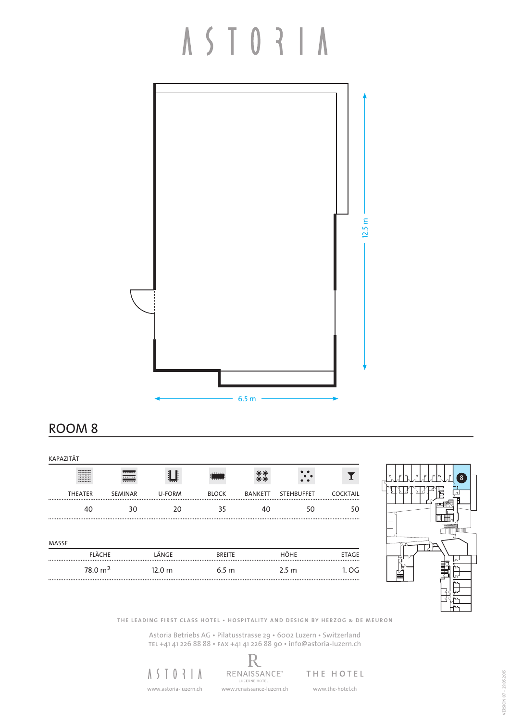

#### ROOM 8

| KAPAZITÄT |                                                                 |                      |                   |                  |                |                   |                 |
|-----------|-----------------------------------------------------------------|----------------------|-------------------|------------------|----------------|-------------------|-----------------|
|           | --------<br><b>********</b><br>********<br>--------<br>******** | <del></del><br>.<br> |                   | <br>             | 90             |                   |                 |
|           | <b>THEATER</b>                                                  | SEMINAR              | U-FORM            | <b>BLOCK</b>     | <b>BANKETT</b> | <b>STEHBUFFET</b> | <b>COCKTAIL</b> |
|           | 40                                                              | 30                   | 20                | 35               | 40             | 50                | 50              |
| MASSE     |                                                                 |                      |                   |                  |                |                   |                 |
|           | <b>FLÄCHE</b>                                                   |                      | LÄNGE             | <b>BREITE</b>    |                | <b>HÖHE</b>       | <b>ETAGE</b>    |
|           | 78.0 m <sup>2</sup>                                             |                      | 12.0 <sub>m</sub> | 6.5 <sub>m</sub> |                | 2.5 <sub>m</sub>  | 1. OG           |



**THE LEADING FIRST CLASS HOTEL • HOSPITALITY AND DESIGN BY HERZOG & DE MEURON**

Astoria Betriebs AG • Pilatusstrasse 29 • 6002 Luzern • Switzerland tel +41 41 226 88 88 • fax +41 41 226 88 90 • info@astoria-luzern.ch



R RENAISSANCE® www.astoria-luzern.ch www.renaissance-luzern.ch www.the-hotel.ch

THE HOTEL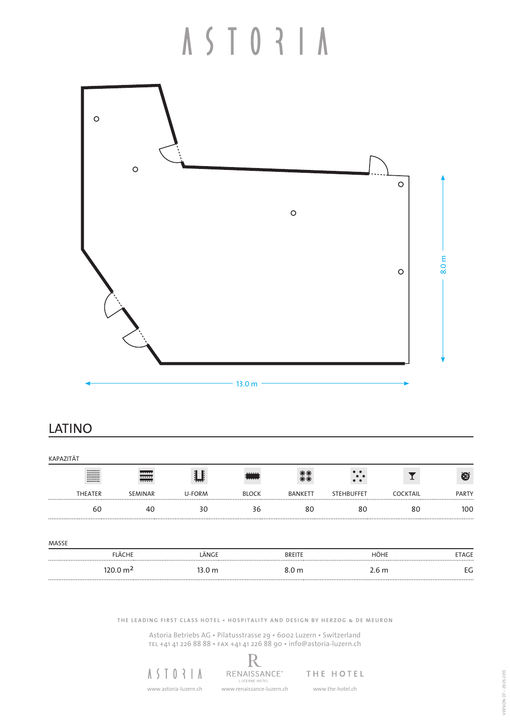### ASTORIA



#### LATINO

| <b>KAPAZITÄT</b>                                                            |                                       |               |              |                  |                   |                  |              |
|-----------------------------------------------------------------------------|---------------------------------------|---------------|--------------|------------------|-------------------|------------------|--------------|
| ********<br>********<br>********<br>********<br><b>********</b><br>******** | <del></del><br>77777<br><b>******</b> |               | <br>-----    |                  |                   |                  | ⊕            |
| <b>THEATER</b>                                                              | <b>SEMINAR</b>                        | <b>U-FORM</b> | <b>BLOCK</b> | <b>BANKETT</b>   | <b>STEHBUFFET</b> | <b>COCKTAIL</b>  | <b>PARTY</b> |
|                                                                             | 60                                    | 30            | 36           |                  | 80                | 80               | 100          |
| MASSE                                                                       | <b>FLÄCHE</b>                         | LÄNGE         |              | <b>BREITE</b>    |                   | HÖHE             | <b>ETAGE</b> |
|                                                                             | $120.0 \text{ m}^2$                   | 13.0 m        |              | 8.0 <sub>m</sub> |                   | 2.6 <sub>m</sub> | EG           |

**THE LEADING FIRST CLASS HOTEL • HOSPITALITY AND DESIGN BY HERZOG & DE MEURON**

Astoria Betriebs AG • Pilatusstrasse 29 • 6002 Luzern • Switzerland tel +41 41 226 88 88 • fax +41 41 226 88 90 • info@astoria-luzern.ch

R

 $A S I 0 3 I A$ 

RENAISSANCE® www.astoria-luzern.ch www.renaissance-luzern.ch www.the-hotel.ch

THE HOTEL